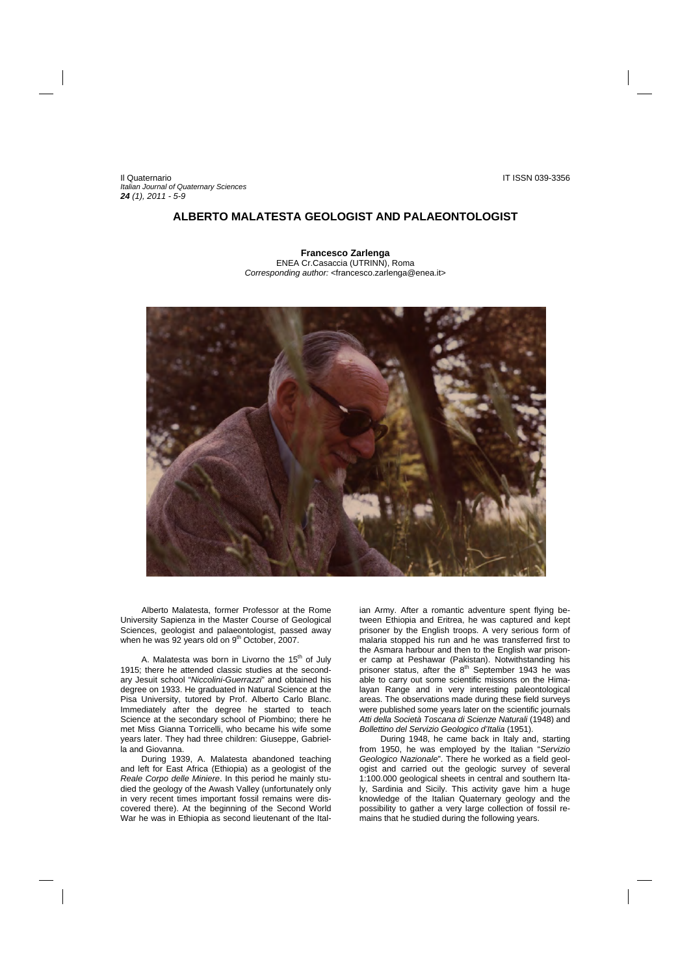Il Quaternario IT ISSN 039-3356 *Italian Journal of Quaternary Sciences 24 (1), 2011 - 5-9* 

## **ALBERTO MALATESTA GEOLOGIST AND PALAEONTOLOGIST**

**Francesco Zarlenga**  ENEA Cr.Casaccia (UTRINN), Roma *Corresponding author:* <francesco.zarlenga@enea.it>



Alberto Malatesta, former Professor at the Rome University Sapienza in the Master Course of Geological Sciences, geologist and palaeontologist, passed away when he was 92 years old on 9<sup>th</sup> October, 2007.

A. Malatesta was born in Livorno the 15<sup>th</sup> of July 1915; there he attended classic studies at the secondary Jesuit school "*Niccolini-Guerrazzi*" and obtained his degree on 1933. He graduated in Natural Science at the Pisa University, tutored by Prof. Alberto Carlo Blanc. Immediately after the degree he started to teach Science at the secondary school of Piombino; there he met Miss Gianna Torricelli, who became his wife some years later. They had three children: Giuseppe, Gabriella and Giovanna.

During 1939, A. Malatesta abandoned teaching and left for East Africa (Ethiopia) as a geologist of the *Reale Corpo delle Miniere*. In this period he mainly studied the geology of the Awash Valley (unfortunately only in very recent times important fossil remains were discovered there). At the beginning of the Second World War he was in Ethiopia as second lieutenant of the Italian Army. After a romantic adventure spent flying between Ethiopia and Eritrea, he was captured and kept prisoner by the English troops. A very serious form of malaria stopped his run and he was transferred first to the Asmara harbour and then to the English war prisoner camp at Peshawar (Pakistan). Notwithstanding his prisoner status, after the  $8<sup>th</sup>$  September 1943 he was able to carry out some scientific missions on the Himalayan Range and in very interesting paleontological areas. The observations made during these field surveys were published some years later on the scientific journals *Atti della Società Toscana di Scienze Naturali* (1948) and *Bollettino del Servizio Geologico d'Italia* (1951).

During 1948, he came back in Italy and, starting from 1950, he was employed by the Italian "*Servizio Geologico Nazionale*". There he worked as a field geologist and carried out the geologic survey of several 1:100.000 geological sheets in central and southern Italy, Sardinia and Sicily. This activity gave him a huge knowledge of the Italian Quaternary geology and the possibility to gather a very large collection of fossil remains that he studied during the following years.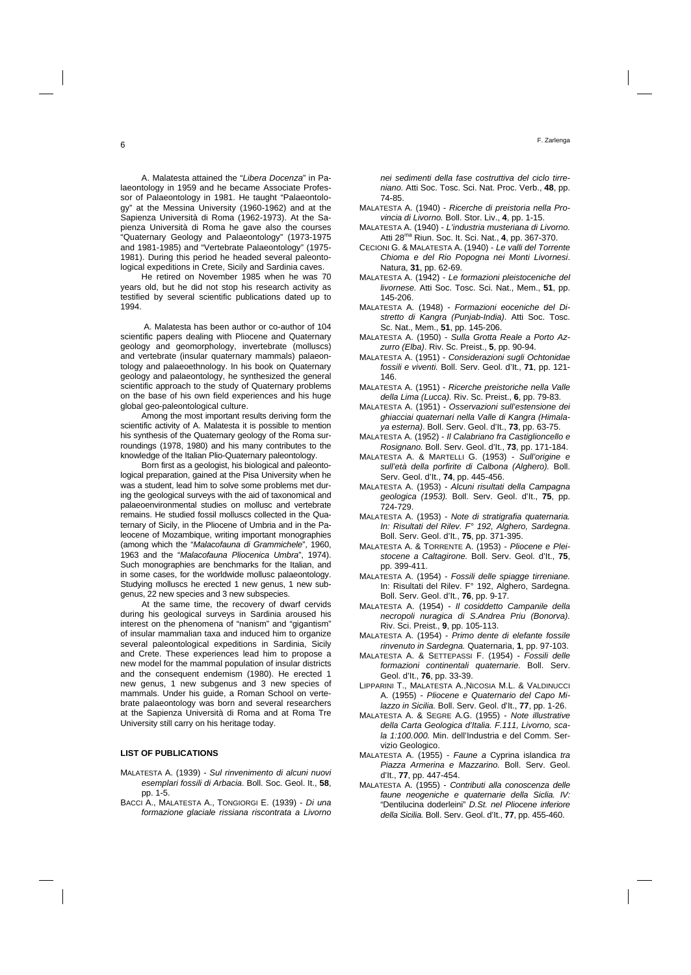A. Malatesta attained the "*Libera Docenza*" in Palaeontology in 1959 and he became Associate Professor of Palaeontology in 1981. He taught "Palaeontology" at the Messina University (1960-1962) and at the Sapienza Università di Roma (1962-1973). At the Sapienza Università di Roma he gave also the courses "Quaternary Geology and Palaeontology" (1973-1975 and 1981-1985) and "Vertebrate Palaeontology" (1975- 1981). During this period he headed several paleontological expeditions in Crete, Sicily and Sardinia caves.

He retired on November 1985 when he was 70 years old, but he did not stop his research activity as testified by several scientific publications dated up to 1994.

 A. Malatesta has been author or co-author of 104 scientific papers dealing with Pliocene and Quaternary geology and geomorphology, invertebrate (molluscs) and vertebrate (insular quaternary mammals) palaeontology and palaeoethnology. In his book on Quaternary geology and palaeontology, he synthesized the general scientific approach to the study of Quaternary problems on the base of his own field experiences and his huge global geo-paleontological culture.

Among the most important results deriving form the scientific activity of A. Malatesta it is possible to mention his synthesis of the Quaternary geology of the Roma surroundings (1978, 1980) and his many contributes to the knowledge of the Italian Plio-Quaternary paleontology.

Born first as a geologist, his biological and paleontological preparation, gained at the Pisa University when he was a student, lead him to solve some problems met during the geological surveys with the aid of taxonomical and palaeoenvironmental studies on mollusc and vertebrate remains. He studied fossil molluscs collected in the Quaternary of Sicily, in the Pliocene of Umbria and in the Paleocene of Mozambique, writing important monographies (among which the "*Malacofauna di Grammichele*", 1960, 1963 and the "*Malacofauna Pliocenica Umbra*", 1974). Such monographies are benchmarks for the Italian, and in some cases, for the worldwide mollusc palaeontology. Studying molluscs he erected 1 new genus, 1 new subgenus, 22 new species and 3 new subspecies.

At the same time, the recovery of dwarf cervids during his geological surveys in Sardinia aroused his interest on the phenomena of "nanism" and "gigantism" of insular mammalian taxa and induced him to organize several paleontological expeditions in Sardinia, Sicily and Crete. These experiences lead him to propose a new model for the mammal population of insular districts and the consequent endemism (1980). He erected 1 new genus, 1 new subgenus and 3 new species of mammals. Under his guide, a Roman School on vertebrate palaeontology was born and several researchers at the Sapienza Università di Roma and at Roma Tre University still carry on his heritage today.

## **LIST OF PUBLICATIONS**

- MALATESTA A. (1939) *Sul rinvenimento di alcuni nuovi esemplari fossili di Arbacia*. Boll. Soc. Geol. It., **58**, pp. 1-5.
- BACCI A., MALATESTA A., TONGIORGI E. (1939) *Di una formazione glaciale rissiana riscontrata a Livorno*

*nei sedimenti della fase costruttiva del ciclo tirreniano.* Atti Soc. Tosc. Sci. Nat. Proc. Verb., **48**, pp. 74-85.

- MALATESTA A. (1940) *Ricerche di preistoria nella Provincia di Livorno.* Boll. Stor. Liv., **4**, pp. 1-15.
- MALATESTA A. (1940) *L'industria musteriana di Livorno.* Atti 28ma Riun. Soc. It. Sci. Nat., **4**, pp. 367-370.
- CECIONI G. & MALATESTA A. (1940) *Le valli del Torrente Chioma e del Rio Popogna nei Monti Livornesi*. Natura, **31**, pp. 62-69.
- MALATESTA A. (1942) *Le formazioni pleistoceniche del livornese.* Atti Soc. Tosc. Sci. Nat., Mem., **51**, pp. 145-206.
- MALATESTA A. (1948) *Formazioni eoceniche del Distretto di Kangra (Punjab-India)*. Atti Soc. Tosc. Sc. Nat., Mem., **51**, pp. 145-206.
- MALATESTA A. (1950) *Sulla Grotta Reale a Porto Azzurro (Elba)*. Riv. Sc. Preist., **5**, pp. 90-94.
- MALATESTA A. (1951) *Considerazioni sugli Ochtonidae fossili e viventi.* Boll. Serv. Geol. d'It., **71**, pp. 121- 146.
- MALATESTA A. (1951) *Ricerche preistoriche nella Valle della Lima (Lucca).* Riv. Sc. Preist., **6**, pp. 79-83.
- MALATESTA A. (1951) *Osservazioni sull'estensione dei ghiacciai quaternari nella Valle di Kangra (Himalaya esterna)*. Boll. Serv. Geol. d'It., **73**, pp. 63-75.
- MALATESTA A. (1952) *Il Calabriano fra Castiglioncello e Rosignano.* Boll. Serv. Geol. d'It., **73**, pp. 171-184.
- MALATESTA A. & MARTELLI G. (1953) *Sull'origine e sull'età della porfirite di Calbona (Alghero).* Boll. Serv. Geol. d'It., **74**, pp. 445-456.
- MALATESTA A. (1953) *Alcuni risultati della Campagna geologica (1953).* Boll. Serv. Geol. d'It., **75**, pp. 724-729.
- MALATESTA A. (1953) *Note di stratigrafia quaternaria. In: Risultati del Rilev. F° 192, Alghero, Sardegna*. Boll. Serv. Geol. d'It., **75**, pp. 371-395.
- MALATESTA A. & TORRENTE A. (1953) *Pliocene e Pleistocene a Caltagirone.* Boll. Serv. Geol. d'It., **75**, pp. 399-411.
- MALATESTA A. (1954) *Fossili delle spiagge tirreniane.* In: Risultati del Rilev. F° 192, Alghero, Sardegna. Boll. Serv. Geol. d'It., **76**, pp. 9-17.
- MALATESTA A. (1954) *Il cosiddetto Campanile della necropoli nuragica di S.Andrea Priu (Bonorva).* Riv. Sci. Preist., **9**, pp. 105-113.
- MALATESTA A. (1954) *Primo dente di elefante fossile rinvenuto in Sardegna.* Quaternaria, **1**, pp. 97-103.
- MALATESTA A. & SETTEPASSI F. (1954) *Fossili delle formazioni continentali quaternarie*. Boll. Serv. Geol. d'It., **76**, pp. 33-39.
- LIPPARINI T., MALATESTA A.,NICOSIA M.L. & VALDINUCCI A. (1955) - *Pliocene e Quaternario del Capo Milazzo in Sicilia.* Boll. Serv. Geol. d'It., **77**, pp. 1-26.
- MALATESTA A. & SEGRE A.G. (1955) *Note illustrative della Carta Geologica d'Italia. F.111, Livorno, scala 1:100.000.* Min. dell'Industria e del Comm. Servizio Geologico.
- MALATESTA A. (1955) *Faune a* Cyprina islandica *tra Piazza Armerina e Mazzarino.* Boll. Serv. Geol. d'It., **77**, pp. 447-454.
- MALATESTA A. (1955) *Contributi alla conoscenza delle faune neogeniche e quaternarie della Siclia. IV:*  "Dentilucina doderleini" *D.St. nel Pliocene inferiore della Sicilia.* Boll. Serv. Geol. d'It., **77**, pp. 455-460.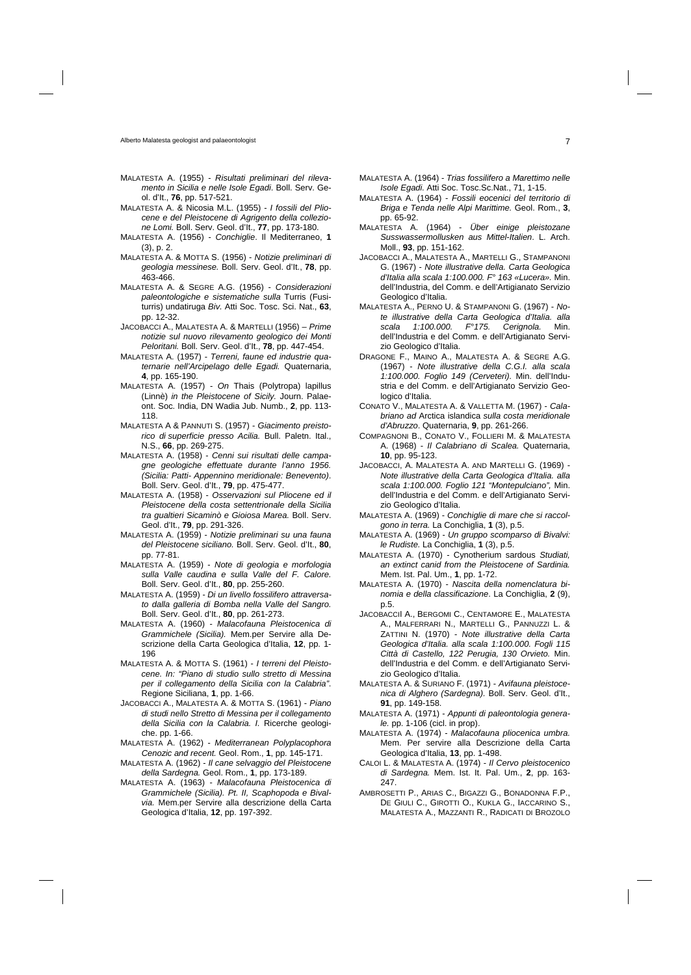- MALATESTA A. (1955) *Risultati preliminari del rilevamento in Sicilia e nelle Isole Egadi*. Boll. Serv. Geol. d'It., **76**, pp. 517-521.
- MALATESTA A. & Nicosia M.L. (1955) *I fossili del Pliocene e del Pleistocene di Agrigento della collezione Lomi.* Boll. Serv. Geol. d'It., **77**, pp. 173-180.
- MALATESTA A. (1956) *Conchiglie*. Il Mediterraneo, **1** (3), p. 2.
- MALATESTA A. & MOTTA S. (1956) *Notizie preliminari di geologia messinese.* Boll. Serv. Geol. d'It., **78**, pp. 463-466.
- MALATESTA A. & SEGRE A.G. (1956) *Considerazioni paleontologiche e sistematiche sulla* Turris (Fusiturris) undatiruga *Biv.* Atti Soc. Tosc. Sci. Nat., **63**, pp. 12-32.
- JACOBACCI A., MALATESTA A. & MARTELLI (1956) *Prime notizie sul nuovo rilevamento geologico dei Monti Peloritani.* Boll. Serv. Geol. d'It., **78**, pp. 447-454.
- MALATESTA A. (1957) *Terreni, faune ed industrie quaternarie nell'Arcipelago delle Egadi.* Quaternaria, **4**, pp. 165-190.
- MALATESTA A. (1957) *On* Thais (Polytropa) lapillus (Linnè) *in the Pleistocene of Sicily.* Journ. Palaeont. Soc. India, DN Wadia Jub. Numb., **2**, pp. 113- 118.
- MALATESTA A & PANNUTI S. (1957) *Giacimento preistorico di superficie presso Acilia.* Bull. Paletn. Ital., N.S., **66**, pp. 269-275.
- MALATESTA A. (1958) *Cenni sui risultati delle campagne geologiche effettuate durante l'anno 1956. (Sicilia: Patti- Appennino meridionale: Benevento)*. Boll. Serv. Geol. d'It., **79**, pp. 475-477.
- MALATESTA A. (1958) *Osservazioni sul Pliocene ed il Pleistocene della costa settentrionale della Sicilia tra gualtieri Sicaminò e Gioiosa Marea.* Boll. Serv. Geol. d'It., **79**, pp. 291-326.
- MALATESTA A. (1959) *Notizie preliminari su una fauna del Pleistocene siciliano.* Boll. Serv. Geol. d'It., **80**, pp. 77-81.
- MALATESTA A. (1959) *Note di geologia e morfologia sulla Valle caudina e sulla Valle del F. Calore.* Boll. Serv. Geol. d'It., **80**, pp. 255-260.
- MALATESTA A. (1959) *Di un livello fossilifero attraversato dalla galleria di Bomba nella Valle del Sangro.* Boll. Serv. Geol. d'It., **80**, pp. 261-273.
- MALATESTA A. (1960) *Malacofauna Pleistocenica di Grammichele (Sicilia).* Mem.per Servire alla Descrizione della Carta Geologica d'Italia, **12**, pp. 1- 196
- MALATESTA A. & MOTTA S. (1961) *I terreni del Pleistocene. In: "Piano di studio sullo stretto di Messina per il collegamento della Sicilia con la Calabria"*. Regione Siciliana, **1**, pp. 1-66.
- JACOBACCI A., MALATESTA A. & MOTTA S. (1961) *Piano di studi nello Stretto di Messina per il collegamento della Sicilia con la Calabria. I.* Ricerche geologiche. pp. 1-66.
- MALATESTA A. (1962) *Mediterranean Polyplacophora Cenozic and recent.* Geol. Rom., **1**, pp. 145-171.
- MALATESTA A. (1962) *Il cane selvaggio del Pleistocene della Sardegna.* Geol. Rom., **1**, pp. 173-189.
- MALATESTA A. (1963) *Malacofauna Pleistocenica di Grammichele (Sicilia). Pt. II, Scaphopoda e Bivalvia.* Mem.per Servire alla descrizione della Carta Geologica d'Italia, **12**, pp. 197-392.
- MALATESTA A. (1964) *Trias fossilifero a Marettimo nelle Isole Egadi.* Atti Soc. Tosc.Sc.Nat., 71, 1-15.
- MALATESTA A. (1964) *Fossili eocenici del territorio di Briga e Tenda nelle Alpi Marittime.* Geol. Rom., **3**, pp. 65-92.
- MALATESTA A. (1964) *Über einige pleistozane Susswassermollusken aus Mittel-Italien*. L. Arch. Moll., **93**, pp. 151-162.
- JACOBACCI A., MALATESTA A., MARTELLI G., STAMPANONI G. (1967) - *Note illustrative della. Carta Geologica d'Italia alla scala 1:100.000. F° 163 «Lucera».* Min. dell'Industria, del Comm. e dell'Artigianato Servizio Geologico d'Italia.
- MALATESTA A., PERNO U. & STAMPANONI G. (1967) *Note illustrative della Carta Geologica d'Italia. alla scala 1:100.000. F°175. Cerignola.* Min. dell'Industria e del Comm. e dell'Artigianato Servizio Geologico d'Italia.
- DRAGONE F., MAINO A., MALATESTA A. & SEGRE A.G. (1967) - *Note illustrative della C.G.I. alla scala 1:100.000. Foglio 149 (Cerveteri).* Min. dell'Industria e del Comm. e dell'Artigianato Servizio Geologico d'Italia.
- CONATO V., MALATESTA A. & VALLETTA M. (1967) *Calabriano ad* Arctica islandica *sulla costa meridionale d'Abruzzo*. Quaternaria, **9**, pp. 261-266.
- COMPAGNONI B., CONATO V., FOLLIERI M. & MALATESTA A. (1968) - *Il Calabriano di Scalea.* Quaternaria, **10**, pp. 95-123.
- JACOBACCI, A. MALATESTA A. AND MARTELLI G. (1969) *Note illustrative della Carta Geologica d'Italia. alla scala 1:100.000. Foglio 121 "Montepulciano",* Min. dell'Industria e del Comm. e dell'Artigianato Servizio Geologico d'Italia.
- MALATESTA A. (1969) *Conchiglie di mare che si raccolgono in terra.* La Conchiglia, **1** (3), p.5.
- MALATESTA A. (1969) *Un gruppo scomparso di Bivalvi: le Rudiste.* La Conchiglia, **1** (3), p.5.
- MALATESTA A. (1970) Cynotherium sardous *Studiati, an extinct canid from the Pleistocene of Sardinia.* Mem. Ist. Pal. Um., **1**, pp. 1-72.
- MALATESTA A. (1970) *Nascita della nomenclatura binomia e della classificazione*. La Conchiglia, **2** (9), p.5.
- JACOBACCII A., BERGOMI C., CENTAMORE E., MALATESTA A., MALFERRARI N., MARTELLI G., PANNUZZI L. & ZATTINI N. (1970) - *Note illustrative della Carta Geologica d'Italia. alla scala 1:100.000. Fogli 115 Città di Castello, 122 Perugia, 130 Orvieto.* Min. dell'Industria e del Comm. e dell'Artigianato Servizio Geologico d'Italia.
- MALATESTA A. & SURIANO F. (1971) *Avifauna pleistocenica di Alghero (Sardegna).* Boll. Serv. Geol. d'It., **91**, pp. 149-158.
- MALATESTA A. (1971) *Appunti di paleontologia generale.* pp. 1-106 (cicl. in prop).
- MALATESTA A. (1974) *Malacofauna pliocenica umbra.* Mem. Per servire alla Descrizione della Carta Geologica d'Italia, **13**, pp. 1-498.
- CALOI L. & MALATESTA A. (1974) *Il Cervo pleistocenico di Sardegna.* Mem. Ist. It. Pal. Um., **2**, pp. 163- 247.
- AMBROSETTI P., ARIAS C., BIGAZZI G., BONADONNA F.P., DE GIULI C., GIROTTI O., KUKLA G., IACCARINO S., MALATESTA A., MAZZANTI R., RADICATI DI BROZOLO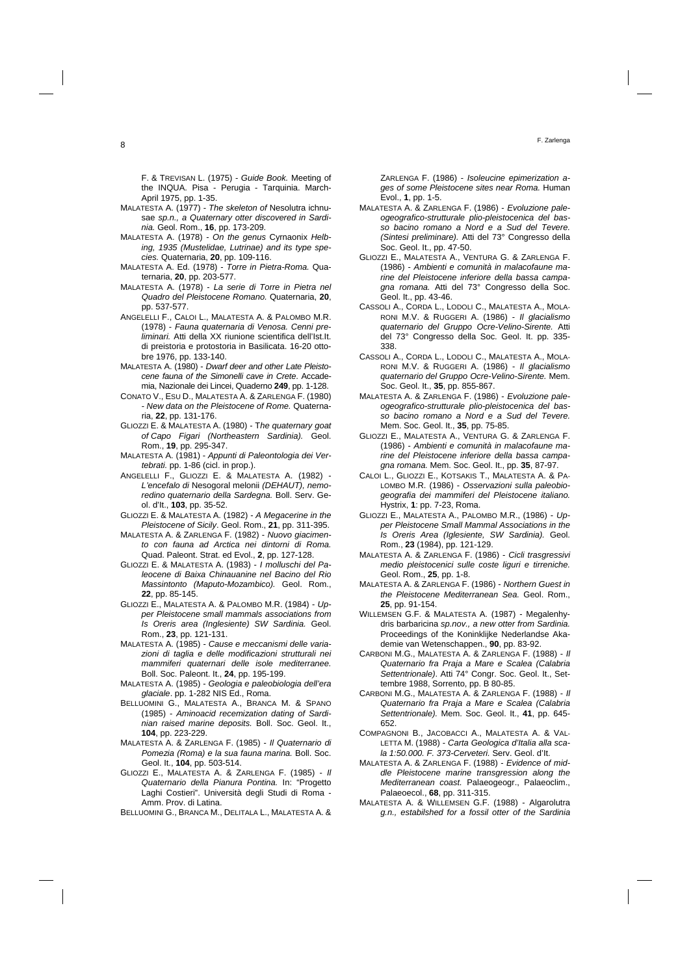F. & TREVISAN L. (1975) - *Guide Book.* Meeting of the INQUA. Pisa - Perugia - Tarquinia. March-April 1975, pp. 1-35.

- MALATESTA A. (1977) *The skeleton of* Nesolutra ichnusae *sp.n., a Quaternary otter discovered in Sardinia.* Geol. Rom., **16**, pp. 173-209.
- MALATESTA A. (1978) *On the genus* Cyrnaonix *Helbing, 1935 (Mustelidae, Lutrinae) and its type species.* Quaternaria, **20**, pp. 109-116.
- MALATESTA A. Ed. (1978) *Torre in Pietra-Roma.* Quaternaria, **20**, pp. 203-577.
- MALATESTA A. (1978) *La serie di Torre in Pietra nel Quadro del Pleistocene Romano.* Quaternaria, **20**, pp. 537-577.
- ANGELELLI F., CALOI L., MALATESTA A. & PALOMBO M.R. (1978) - *Fauna quaternaria di Venosa. Cenni preliminari.* Atti della XX riunione scientifica dell'Ist.It. di preistoria e protostoria in Basilicata. 16-20 ottobre 1976, pp. 133-140.
- MALATESTA A. (1980) *Dwarf deer and other Late Pleistocene fauna of the Simonelli cave in Crete*. Accademia, Nazionale dei Lincei, Quaderno **249**, pp. 1-128.
- CONATO V., ESU D., MALATESTA A. & ZARLENGA F. (1980) - *New data on the Pleistocene of Rome.* Quaternaria, **22**, pp. 131-176.
- GLIOZZI E. & MALATESTA A. (1980) T*he quaternary goat of Capo Figari (Northeastern Sardinia).* Geol. Rom., **19**, pp. 295-347.
- MALATESTA A. (1981) *Appunti di Paleontologia dei Vertebrati.* pp. 1-86 (cicl. in prop.).
- ANGELELLI F., GLIOZZI E. & MALATESTA A. (1982) *L'encefalo di* Nesogoral melonii *(DEHAUT), nemoredino quaternario della Sardegna.* Boll. Serv. Geol. d'It., **103**, pp. 35-52.
- GLIOZZI E. & MALATESTA A. (1982) *A Megacerine in the Pleistocene of Sicily*. Geol. Rom., **21**, pp. 311-395.
- MALATESTA A. & ZARLENGA F. (1982) *Nuovo giacimento con fauna ad Arctica nei dintorni di Roma.* Quad. Paleont. Strat. ed Evol., **2**, pp. 127-128.
- GLIOZZI E. & MALATESTA A. (1983) *I molluschi del Paleocene di Baixa Chinauanine nel Bacino del Rio Massintonto (Maputo-Mozambico).* Geol. Rom., **22**, pp. 85-145.
- GLIOZZI E., MALATESTA A. & PALOMBO M.R. (1984) *Upper Pleistocene small mammals associations from Is Oreris area (Inglesiente) SW Sardinia.* Geol. Rom., **23**, pp. 121-131.
- MALATESTA A. (1985) *Cause e meccanismi delle variazioni di taglia e delle modificazioni strutturali nei mammiferi quaternari delle isole mediterranee.*  Boll. Soc. Paleont. It., **24**, pp. 195-199.
- MALATESTA A. (1985) *Geologia e paleobiologia dell'era glaciale*. pp. 1-282 NIS Ed., Roma.
- BELLUOMINI G., MALATESTA A., BRANCA M. & SPANO (1985) - *Aminoacid recemization dating of Sardinian raised marine deposits.* Boll. Soc. Geol. It., **104**, pp. 223-229.
- MALATESTA A. & ZARLENGA F. (1985) *Il Quaternario di Pomezia (Roma) e la sua fauna marina.* Boll. Soc. Geol. It., **104**, pp. 503-514.
- GLIOZZI E., MALATESTA A. & ZARLENGA F. (1985) *Il Quaternario della Pianura Pontina.* In: "Progetto Laghi Costieri". Università degli Studi di Roma - Amm. Prov. di Latina.
- BELLUOMINI G., BRANCA M., DELITALA L., MALATESTA A. &

ZARLENGA F. (1986) - *Isoleucine epimerization ages of some Pleistocene sites near Roma.* Human Evol., **1**, pp. 1-5.

- MALATESTA A. & ZARLENGA F. (1986) *Evoluzione paleogeografico-strutturale plio-pleistocenica del basso bacino romano a Nord e a Sud del Tevere. (Sintesi preliminare).* Atti del 73° Congresso della Soc. Geol. It., pp. 47-50.
- GLIOZZI E., MALATESTA A., VENTURA G. & ZARLENGA F. (1986) - *Ambienti e comunità in malacofaune marine del Pleistocene inferiore della bassa campagna romana.* Atti del 73° Congresso della Soc. Geol. It., pp. 43-46.
- CASSOLI A., CORDA L., LODOLI C., MALATESTA A., MOLA-RONI M.V. & RUGGERI A. (1986) - *Il glacialismo quaternario del Gruppo Ocre-Velino-Sirente.* Atti del 73° Congresso della Soc. Geol. It. pp. 335- 338.
- CASSOLI A., CORDA L., LODOLI C., MALATESTA A., MOLA-RONI M.V. & RUGGERI A. (1986) - *Il glacialismo quaternario del Gruppo Ocre-Velino-Sirente.* Mem. Soc. Geol. It., **35**, pp. 855-867.
- MALATESTA A. & ZARLENGA F. (1986) *Evoluzione paleogeografico-strutturale plio-pleistocenica del basso bacino romano a Nord e a Sud del Tevere.* Mem. Soc. Geol. It., **35**, pp. 75-85.
- GLIOZZI E., MALATESTA A., VENTURA G. & ZARLENGA F. (1986) - *Ambienti e comunità in malacofaune marine del Pleistocene inferiore della bassa campagna romana.* Mem. Soc. Geol. It., pp. **35**, 87-97.
- CALOI L., GLIOZZI E., KOTSAKIS T., MALATESTA A. & PA-LOMBO M.R. (1986) - *Osservazioni sulla paleobiogeografia dei mammiferi del Pleistocene italiano.*  Hystrix, **1**: pp. 7-23, Roma.
- GLIOZZI E., MALATESTA A., PALOMBO M.R., (1986) *Upper Pleistocene Small Mammal Associations in the Is Oreris Area (Iglesiente, SW Sardinia).* Geol. Rom., **23** (1984), pp. 121-129.
- MALATESTA A. & ZARLENGA F. (1986) *Cicli trasgressivi medio pleistocenici sulle coste liguri e tirreniche.* Geol. Rom., **25**, pp. 1-8.
- MALATESTA A. & ZARLENGA F. (1986) *Northern Guest in the Pleistocene Mediterranean Sea.* Geol. Rom., **25**, pp. 91-154.
- WILLEMSEN G.F. & MALATESTA A. (1987) Megalenhydris barbaricina *sp.nov., a new otter from Sardinia.* Proceedings of the Koninklijke Nederlandse Akademie van Wetenschappen., **90**, pp. 83-92.
- CARBONI M.G., MALATESTA A. & ZARLENGA F. (1988) *Il Quaternario fra Praja a Mare e Scalea (Calabria Settentrionale)*. Atti 74° Congr. Soc. Geol. It., Settembre 1988, Sorrento, pp. B 80-85.
- CARBONI M.G., MALATESTA A. & ZARLENGA F. (1988) *Il Quaternario fra Praja a Mare e Scalea (Calabria Settentrionale).* Mem. Soc. Geol. It., **41**, pp. 645- 652.
- COMPAGNONI B., JACOBACCI A., MALATESTA A. & VAL-LETTA M. (1988) - *Carta Geologica d'Italia alla scala 1:50.000. F. 373-Cerveteri.* Serv. Geol. d'It.
- MALATESTA A. & ZARLENGA F. (1988) *Evidence of middle Pleistocene marine transgression along the Mediterranean coast.* Palaeogeogr., Palaeoclim., Palaeoecol., **68**, pp. 311-315.
- MALATESTA A. & WILLEMSEN G.F. (1988) Algarolutra *g.n., estabilshed for a fossil otter of the Sardinia*